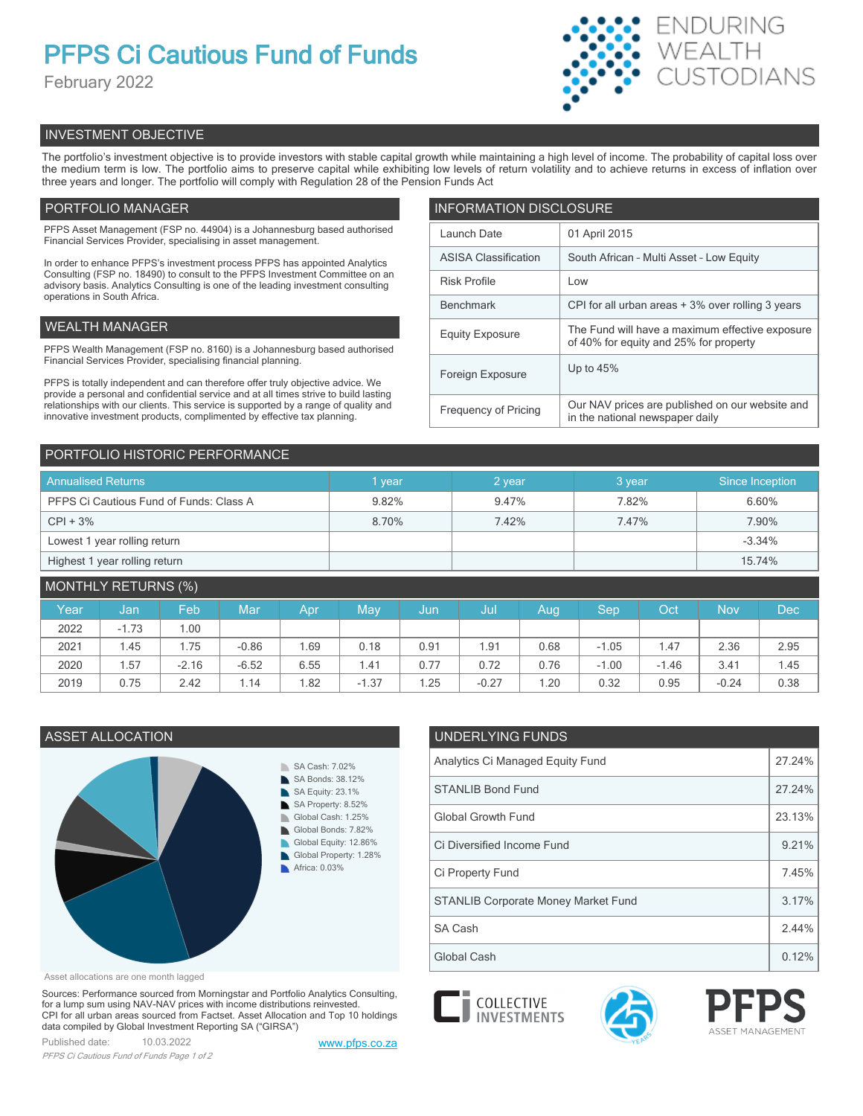# **PFPS Ci Cautious Fund of Funds**

February 2022



# INVESTMENT OBJECTIVE

The portfolio's investment objective is to provide investors with stable capital growth while maintaining a high level of income. The probability of capital loss over the medium term is low. The portfolio aims to preserve capital while exhibiting low levels of return volatility and to achieve returns in excess of inflation over three years and longer. The portfolio will comply with Regulation 28 of the Pension Funds Act

# PORTFOLIO MANAGER

PFPS Asset Management (FSP no. 44904) is a Johannesburg based authorised Financial Services Provider, specialising in asset management.

In order to enhance PFPS's investment process PFPS has appointed Analytics Consulting (FSP no. 18490) to consult to the PFPS Investment Committee on an advisory basis. Analytics Consulting is one of the leading investment consulting operations in South Africa.

# WEALTH MANAGER

PFPS Wealth Management (FSP no. 8160) is a Johannesburg based authorised Financial Services Provider, specialising financial planning.

PFPS is totally independent and can therefore offer truly objective advice. We provide a personal and confidential service and at all times strive to build lasting relationships with our clients. This service is supported by a range of quality and innovative investment products, complimented by effective tax planning.

| <b>INFORMATION DISCLOSURE</b> |                                                                                           |  |  |  |
|-------------------------------|-------------------------------------------------------------------------------------------|--|--|--|
| Launch Date                   | 01 April 2015                                                                             |  |  |  |
| <b>ASISA Classification</b>   | South African - Multi Asset - Low Equity                                                  |  |  |  |
| <b>Risk Profile</b>           | Low                                                                                       |  |  |  |
| <b>Benchmark</b>              | CPI for all urban areas + 3% over rolling 3 years                                         |  |  |  |
| <b>Equity Exposure</b>        | The Fund will have a maximum effective exposure<br>of 40% for equity and 25% for property |  |  |  |
| Foreign Exposure              | Up to $45%$                                                                               |  |  |  |
| <b>Frequency of Pricing</b>   | Our NAV prices are published on our website and<br>in the national newspaper daily        |  |  |  |

## PORTFOLIO HISTORIC PERFORMANCE

| <b>Annualised Returns</b>               | 1 year | $2$ year | 3 year | Since Inception |
|-----------------------------------------|--------|----------|--------|-----------------|
| PFPS Ci Cautious Fund of Funds: Class A | 9.82%  | 9.47%    | 7.82%  | 6.60%           |
| $CPI + 3%$                              | 8.70%  | 7.42%    | 7.47%  | 7.90%           |
| Lowest 1 year rolling return            |        |          |        | $-3.34%$        |
| Highest 1 year rolling return           |        |          |        | 15.74%          |

| MONTHLY RETURNS (%) |         |         |         |      |         |      |         |      |         |         |            |      |
|---------------------|---------|---------|---------|------|---------|------|---------|------|---------|---------|------------|------|
| Year                | Jan     | Feb     | Mar     | Apr  | May     | Uun  | Jul     | Aug  | Sep     | Oct     | <b>Nov</b> | Dec  |
| 2022                | $-1.73$ | 0.00    |         |      |         |      |         |      |         |         |            |      |
| 2021                | 1.45    | .75     | $-0.86$ | .69  | 0.18    | 0.91 | i.91    | 0.68 | $-1.05$ | .47     | 2.36       | 2.95 |
| 2020                | .57     | $-2.16$ | $-6.52$ | 6.55 | 1.41    | 0.77 | 0.72    | 0.76 | $-1.00$ | $-1.46$ | 3.41       | 1.45 |
| 2019                | 0.75    | 2.42    | 1.14    | 1.82 | $-1.37$ | 1.25 | $-0.27$ | 1.20 | 0.32    | 0.95    | $-0.24$    | 0.38 |



| <b>UNDERLYING FUNDS</b>                    |        |  |  |  |
|--------------------------------------------|--------|--|--|--|
| Analytics Ci Managed Equity Fund           | 27.24% |  |  |  |
| <b>STANLIB Bond Fund</b>                   | 27.24% |  |  |  |
| <b>Global Growth Fund</b>                  | 23.13% |  |  |  |
| Ci Diversified Income Fund                 | 9.21%  |  |  |  |
| Ci Property Fund                           | 7.45%  |  |  |  |
| <b>STANLIB Corporate Money Market Fund</b> | 3.17%  |  |  |  |
| SA Cash                                    | 2.44%  |  |  |  |
| Global Cash                                | 0.12%  |  |  |  |

Asset allocations are one month lagged

Sources: Performance sourced from Morningstar and Portfolio Analytics Consulting, for a lump sum using NAV-NAV prices with income distributions reinvested. CPI for all urban areas sourced from Factset. Asset Allocation and Top 10 holdings data compiled by Global Investment Reporting SA ("GIRSA")

Published date: 10.03.2022 [www.pfps.co.za](https://www.pfps.co.za/) *PFPS Ci Cautious Fund of Funds Page 1 of 2*



COLLECTIVE **INVESTMENTS**